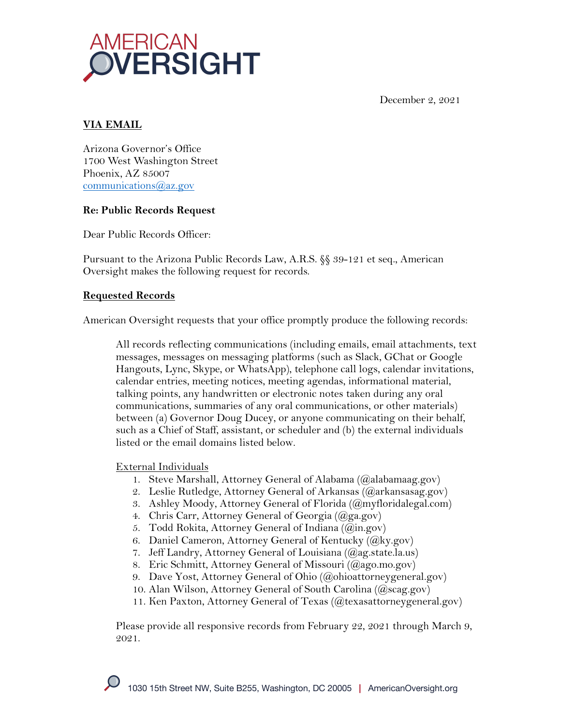



# **VIA EMAIL**

Arizona Governor's Office 1700 West Washington Street Phoenix, AZ 85007 communications@az.gov

## **Re: Public Records Request**

Dear Public Records Officer:

Pursuant to the Arizona Public Records Law, A.R.S. §§ 39-121 et seq., American Oversight makes the following request for records.

## **Requested Records**

American Oversight requests that your office promptly produce the following records:

All records reflecting communications (including emails, email attachments, text messages, messages on messaging platforms (such as Slack, GChat or Google Hangouts, Lync, Skype, or WhatsApp), telephone call logs, calendar invitations, calendar entries, meeting notices, meeting agendas, informational material, talking points, any handwritten or electronic notes taken during any oral communications, summaries of any oral communications, or other materials) between (a) Governor Doug Ducey, or anyone communicating on their behalf, such as a Chief of Staff, assistant, or scheduler and (b) the external individuals listed or the email domains listed below.

## External Individuals

- 1. Steve Marshall, Attorney General of Alabama (@alabamaag.gov)
- 2. Leslie Rutledge, Attorney General of Arkansas (@arkansasag.gov)
- 3. Ashley Moody, Attorney General of Florida (@myfloridalegal.com)
- 4. Chris Carr, Attorney General of Georgia (@ga.gov)
- 5. Todd Rokita, Attorney General of Indiana (@in.gov)
- 6. Daniel Cameron, Attorney General of Kentucky ( $(\widehat{a}$ ky.gov)
- 7. Jeff Landry, Attorney General of Louisiana (@ag.state.la.us)
- 8. Eric Schmitt, Attorney General of Missouri (@ago.mo.gov)
- 9. Dave Yost, Attorney General of Ohio (@ohioattorneygeneral.gov)
- 10. Alan Wilson, Attorney General of South Carolina (@scag.gov)
- 11. Ken Paxton, Attorney General of Texas (@texasattorneygeneral.gov)

Please provide all responsive records from February 22, 2021 through March 9, 2021.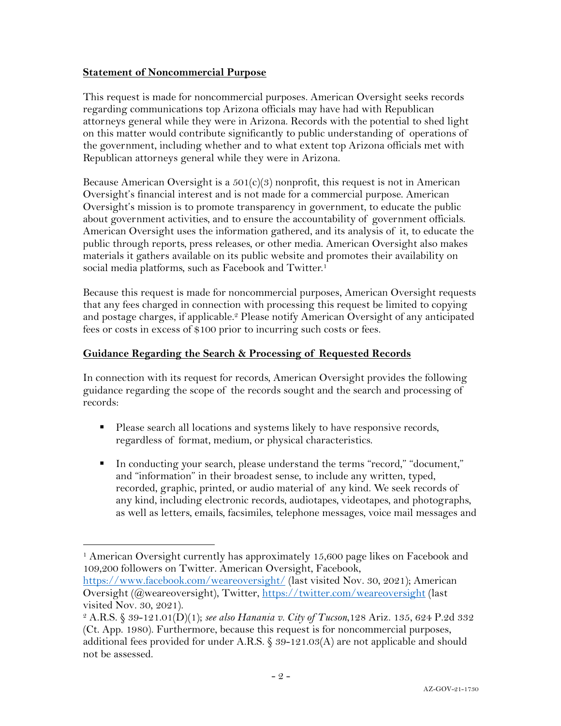#### **Statement of Noncommercial Purpose**

This request is made for noncommercial purposes. American Oversight seeks records regarding communications top Arizona officials may have had with Republican attorneys general while they were in Arizona. Records with the potential to shed light on this matter would contribute significantly to public understanding of operations of the government, including whether and to what extent top Arizona officials met with Republican attorneys general while they were in Arizona.

Because American Oversight is a  $501(c)(3)$  nonprofit, this request is not in American Oversight's financial interest and is not made for a commercial purpose. American Oversight's mission is to promote transparency in government, to educate the public about government activities, and to ensure the accountability of government officials. American Oversight uses the information gathered, and its analysis of it, to educate the public through reports, press releases, or other media. American Oversight also makes materials it gathers available on its public website and promotes their availability on social media platforms, such as Facebook and Twitter.<sup>1</sup>

Because this request is made for noncommercial purposes, American Oversight requests that any fees charged in connection with processing this request be limited to copying and postage charges, if applicable.<sup>2</sup> Please notify American Oversight of any anticipated fees or costs in excess of \$100 prior to incurring such costs or fees.

#### **Guidance Regarding the Search & Processing of Requested Records**

In connection with its request for records, American Oversight provides the following guidance regarding the scope of the records sought and the search and processing of records:

- § Please search all locations and systems likely to have responsive records, regardless of format, medium, or physical characteristics.
- § In conducting your search, please understand the terms "record," "document," and "information" in their broadest sense, to include any written, typed, recorded, graphic, printed, or audio material of any kind. We seek records of any kind, including electronic records, audiotapes, videotapes, and photographs, as well as letters, emails, facsimiles, telephone messages, voice mail messages and

https://www.facebook.com/weareoversight/ (last visited Nov. 30, 2021); American Oversight (@weareoversight), Twitter, https://twitter.com/weareoversight (last visited Nov. 30, 2021).

<sup>1</sup> American Oversight currently has approximately 15,600 page likes on Facebook and 109,200 followers on Twitter. American Oversight, Facebook,

<sup>2</sup> A.R.S. § 39-121.01(D)(1); *see also Hanania v. City of Tucson*,128 Ariz. 135, 624 P.2d 332 (Ct. App. 1980). Furthermore, because this request is for noncommercial purposes, additional fees provided for under A.R.S.  $\&$  39-121.03(A) are not applicable and should not be assessed.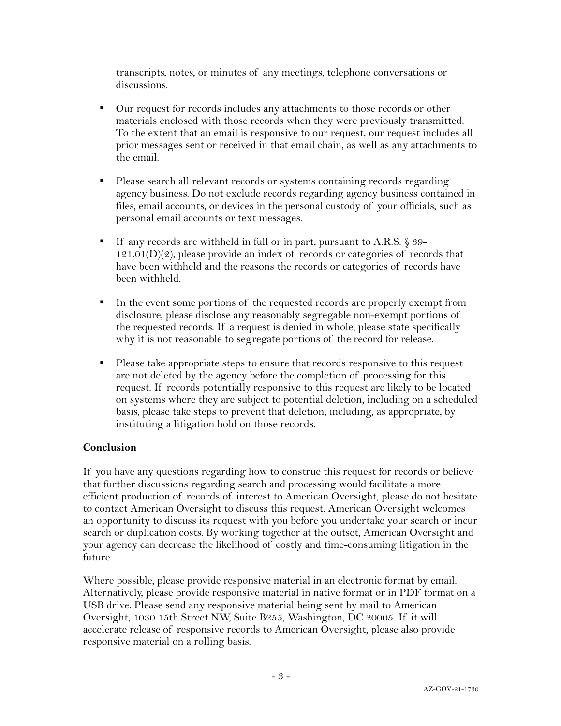transcripts, notes, or minutes of any meetings, telephone conversations or discussions.

- Our request for records includes any attachments to those records or other materials enclosed with those records when they were previously transmitted. To the extent that an email is responsive to our request, our request includes all prior messages sent or received in that email chain, as well as any attachments to the email.
- § Please search all relevant records or systems containing records regarding agency business. Do not exclude records regarding agency business contained in files, email accounts, or devices in the personal custody of your officials, such as personal email accounts or text messages.
- If any records are withheld in full or in part, pursuant to A.R.S. § 39- $121.01(D)(2)$ , please provide an index of records or categories of records that have been withheld and the reasons the records or categories of records have been withheld.
- In the event some portions of the requested records are properly exempt from disclosure, please disclose any reasonably segregable non-exempt portions of the requested records. If a request is denied in whole, please state specifically why it is not reasonable to segregate portions of the record for release.
- Please take appropriate steps to ensure that records responsive to this request are not deleted by the agency before the completion of processing for this request. If records potentially responsive to this request are likely to be located on systems where they are subject to potential deletion, including on a scheduled basis, please take steps to prevent that deletion, including, as appropriate, by instituting a litigation hold on those records.

## **Conclusion**

If you have any questions regarding how to construe this request for records or believe that further discussions regarding search and processing would facilitate a more efficient production of records of interest to American Oversight, please do not hesitate to contact American Oversight to discuss this request. American Oversight welcomes an opportunity to discuss its request with you before you undertake your search or incur search or duplication costs. By working together at the outset, American Oversight and your agency can decrease the likelihood of costly and time-consuming litigation in the future.

Where possible, please provide responsive material in an electronic format by email. Alternatively, please provide responsive material in native format or in PDF format on a USB drive. Please send any responsive material being sent by mail to American Oversight, 1030 15th Street NW, Suite B255, Washington, DC 20005. If it will accelerate release of responsive records to American Oversight, please also provide responsive material on a rolling basis.